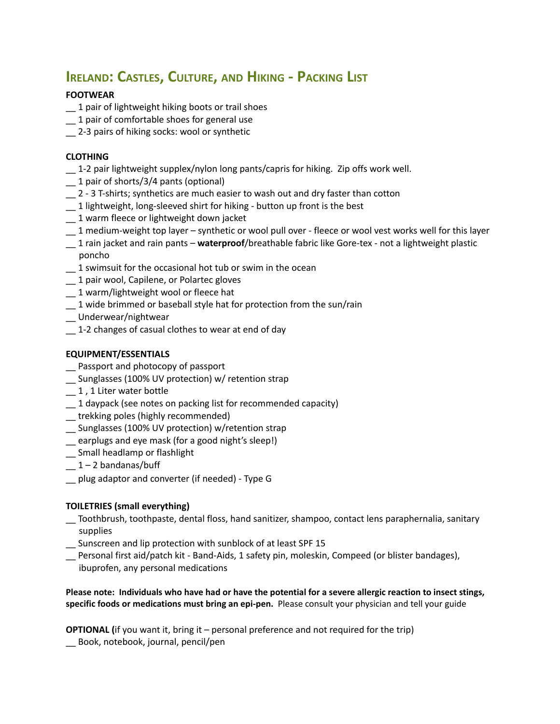# **IRELAND: CASTLES, CULTURE, AND HIKING - PACKING LIST**

## **FOOTWEAR**

- \_\_ 1 pair of lightweight hiking boots or trail shoes
- $-1$  pair of comfortable shoes for general use
- \_\_ 2-3 pairs of hiking socks: wool or synthetic

### **CLOTHING**

- $\pm$  1-2 pair lightweight supplex/nylon long pants/capris for hiking. Zip offs work well.
- \_\_ 1 pair of shorts/3/4 pants (optional)
- \_\_ 2 3 T-shirts; synthetics are much easier to wash out and dry faster than cotton
- \_\_ 1 lightweight, long-sleeved shirt for hiking button up front is the best
- \_\_ 1 warm fleece or lightweight down jacket
- \_\_ 1 medium-weight top layer synthetic or wool pull over fleece or wool vest works well for this layer
- \_\_ 1 rain jacket and rain pants **waterproof**/breathable fabric like Gore-tex not a lightweight plastic poncho
- \_\_ 1 swimsuit for the occasional hot tub or swim in the ocean
- $\_$  1 pair wool, Capilene, or Polartec gloves
- \_\_ 1 warm/lightweight wool or fleece hat
- $\sim$  1 wide brimmed or baseball style hat for protection from the sun/rain
- \_\_ Underwear/nightwear
- \_\_ 1-2 changes of casual clothes to wear at end of day

### **EQUIPMENT/ESSENTIALS**

- \_\_ Passport and photocopy of passport
- \_\_ Sunglasses (100% UV protection) w/ retention strap
- $\_$  1, 1 Liter water bottle
- \_\_ 1 daypack (see notes on packing list for recommended capacity)
- \_\_ trekking poles (highly recommended)
- \_\_ Sunglasses (100% UV protection) w/retention strap
- \_\_ earplugs and eye mask (for a good night's sleep!)
- \_\_ Small headlamp or flashlight
- $-1 2$  bandanas/buff
- \_\_ plug adaptor and converter (if needed) Type G

#### **TOILETRIES (small everything)**

- \_\_ Toothbrush, toothpaste, dental floss, hand sanitizer, shampoo, contact lens paraphernalia, sanitary supplies
- \_\_ Sunscreen and lip protection with sunblock of at least SPF 15
- \_\_ Personal first aid/patch kit Band-Aids, 1 safety pin, moleskin, Compeed (or blister bandages), ibuprofen, any personal medications

**Please note: Individuals who have had or have the potential for a severe allergic reaction to insect stings, specific foods or medications must bring an epi-pen.** Please consult your physician and tell your guide

**OPTIONAL (**if you want it, bring it – personal preference and not required for the trip) \_\_ Book, notebook, journal, pencil/pen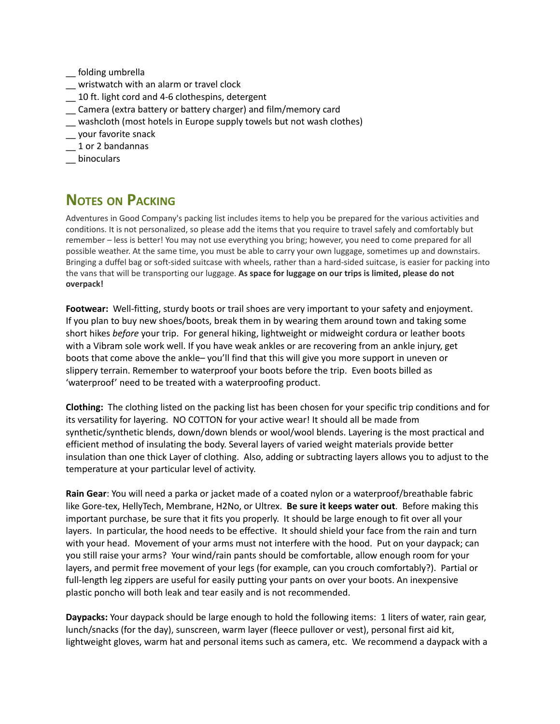\_\_ folding umbrella

- \_\_ wristwatch with an alarm or travel clock
- \_\_ 10 ft. light cord and 4-6 clothespins, detergent
- \_\_ Camera (extra battery or battery charger) and film/memory card
- \_\_ washcloth (most hotels in Europe supply towels but not wash clothes)
- \_\_ your favorite snack
- \_\_ 1 or 2 bandannas
- \_\_ binoculars

## **NOTES ON PACKING**

Adventures in Good Company's packing list includes items to help you be prepared for the various activities and conditions. It is not personalized, so please add the items that you require to travel safely and comfortably but remember – less is better! You may not use everything you bring; however, you need to come prepared for all possible weather. At the same time, you must be able to carry your own luggage, sometimes up and downstairs. Bringing a duffel bag or soft-sided suitcase with wheels, rather than a hard-sided suitcase, is easier for packing into the vans that will be transporting our luggage. **As space for luggage on our trips is limited, please do not overpack!**

**Footwear:** Well-fitting, sturdy boots or trail shoes are very important to your safety and enjoyment. If you plan to buy new shoes/boots, break them in by wearing them around town and taking some short hikes *before* your trip. For general hiking, lightweight or midweight cordura or leather boots with a Vibram sole work well. If you have weak ankles or are recovering from an ankle injury, get boots that come above the ankle– you'll find that this will give you more support in uneven or slippery terrain. Remember to waterproof your boots before the trip. Even boots billed as 'waterproof' need to be treated with a waterproofing product.

**Clothing:** The clothing listed on the packing list has been chosen for your specific trip conditions and for its versatility for layering. NO COTTON for your active wear! It should all be made from synthetic/synthetic blends, down/down blends or wool/wool blends. Layering is the most practical and efficient method of insulating the body. Several layers of varied weight materials provide better insulation than one thick Layer of clothing. Also, adding or subtracting layers allows you to adjust to the temperature at your particular level of activity.

**Rain Gear**: You will need a parka or jacket made of a coated nylon or a waterproof/breathable fabric like Gore-tex, HellyTech, Membrane, H2No, or Ultrex. **Be sure it keeps water out**. Before making this important purchase, be sure that it fits you properly. It should be large enough to fit over all your layers. In particular, the hood needs to be effective. It should shield your face from the rain and turn with your head. Movement of your arms must not interfere with the hood. Put on your daypack; can you still raise your arms? Your wind/rain pants should be comfortable, allow enough room for your layers, and permit free movement of your legs (for example, can you crouch comfortably?). Partial or full-length leg zippers are useful for easily putting your pants on over your boots. An inexpensive plastic poncho will both leak and tear easily and is not recommended.

**Daypacks:** Your daypack should be large enough to hold the following items: 1 liters of water, rain gear, lunch/snacks (for the day), sunscreen, warm layer (fleece pullover or vest), personal first aid kit, lightweight gloves, warm hat and personal items such as camera, etc. We recommend a daypack with a